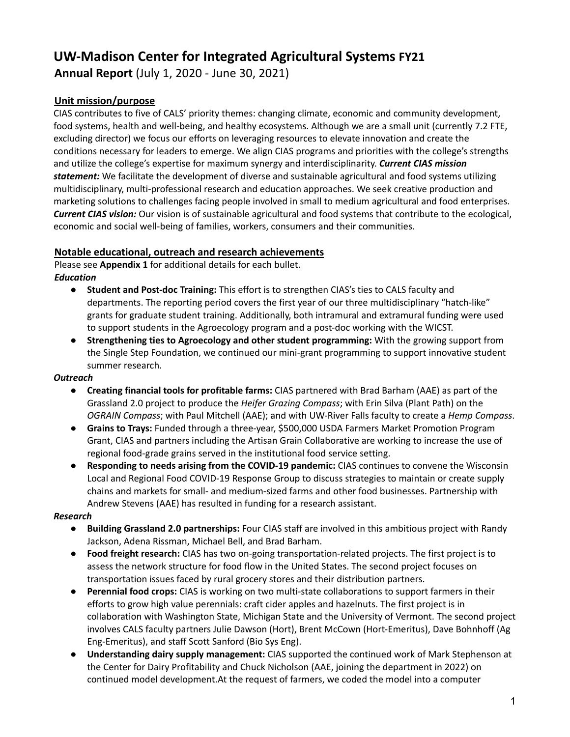# **UW-Madison Center for Integrated Agricultural Systems FY21**

**Annual Report** (July 1, 2020 - June 30, 2021)

# **Unit mission/purpose**

CIAS contributes to five of CALS' priority themes: changing climate, economic and community development, food systems, health and well-being, and healthy ecosystems. Although we are a small unit (currently 7.2 FTE, excluding director) we focus our efforts on leveraging resources to elevate innovation and create the conditions necessary for leaders to emerge. We align CIAS programs and priorities with the college's strengths and utilize the college's expertise for maximum synergy and interdisciplinarity. *Current CIAS mission statement:* We facilitate the development of diverse and sustainable agricultural and food systems utilizing multidisciplinary, multi-professional research and education approaches. We seek creative production and marketing solutions to challenges facing people involved in small to medium agricultural and food enterprises. *Current CIAS vision:* Our vision is of sustainable agricultural and food systems that contribute to the ecological, economic and social well-being of families, workers, consumers and their communities.

# **Notable educational, outreach and research achievements**

Please see **Appendix 1** for additional details for each bullet. *Education*

- **Student and Post-doc Training:** This effort is to strengthen CIAS's ties to CALS faculty and departments. The reporting period covers the first year of our three multidisciplinary "hatch-like" grants for graduate student training. Additionally, both intramural and extramural funding were used to support students in the Agroecology program and a post-doc working with the WICST.
- **Strengthening ties to Agroecology and other student programming:** With the growing support from the Single Step Foundation, we continued our mini-grant programming to support innovative student summer research.

# *Outreach*

- **Creating financial tools for profitable farms:** CIAS partnered with Brad Barham (AAE) as part of the Grassland 2.0 project to produce the *Heifer Grazing Compass*; with Erin Silva (Plant Path) on the *OGRAIN Compass*; with Paul Mitchell (AAE); and with UW-River Falls faculty to create a *Hemp Compass*.
- **Grains to Trays:** Funded through a three-year, \$500,000 USDA Farmers Market Promotion Program Grant, CIAS and partners including the Artisan Grain Collaborative are working to increase the use of regional food-grade grains served in the institutional food service setting.
- **Responding to needs arising from the COVID-19 pandemic:** CIAS continues to convene the Wisconsin Local and Regional Food COVID-19 Response Group to discuss strategies to maintain or create supply chains and markets for small- and medium-sized farms and other food businesses. Partnership with Andrew Stevens (AAE) has resulted in funding for a research assistant.

# *Research*

- **Building Grassland 2.0 partnerships:** Four CIAS staff are involved in this ambitious project with Randy Jackson, Adena Rissman, Michael Bell, and Brad Barham.
- **Food freight research:** CIAS has two on-going transportation-related projects. The first project is to assess the network structure for food flow in the United States. The second project focuses on transportation issues faced by rural grocery stores and their distribution partners.
- **Perennial food crops:** CIAS is working on two multi-state collaborations to support farmers in their efforts to grow high value perennials: craft cider apples and hazelnuts. The first project is in collaboration with Washington State, Michigan State and the University of Vermont. The second project involves CALS faculty partners Julie Dawson (Hort), Brent McCown (Hort-Emeritus), Dave Bohnhoff (Ag Eng-Emeritus), and staff Scott Sanford (Bio Sys Eng).
- **Understanding dairy supply management:** CIAS supported the continued work of Mark Stephenson at the Center for Dairy Profitability and Chuck Nicholson (AAE, joining the department in 2022) on continued model development.At the request of farmers, we coded the model into a computer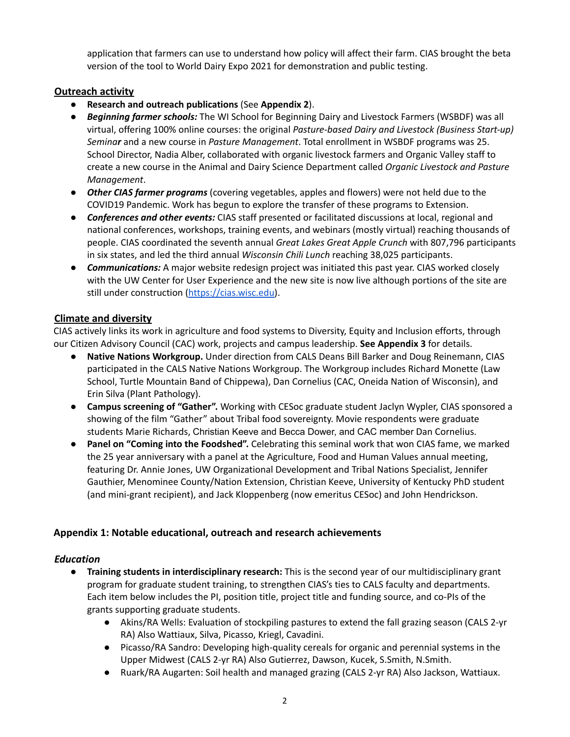application that farmers can use to understand how policy will affect their farm. CIAS brought the beta version of the tool to World Dairy Expo 2021 for demonstration and public testing.

# **Outreach activity**

- **Research and outreach publications** (See **Appendix 2**).
- *Beginning farmer schools:* The WI School for Beginning Dairy and Livestock Farmers (WSBDF) was all virtual, offering 100% online courses: the original *Pasture-based Dairy and Livestock (Business Start-up) Seminar* and a new course in *Pasture Management*. Total enrollment in WSBDF programs was 25. School Director, Nadia Alber, collaborated with organic livestock farmers and Organic Valley staff to create a new course in the Animal and Dairy Science Department called *Organic Livestock and Pasture Management*.
- *Other CIAS farmer programs* (covering vegetables, apples and flowers) were not held due to the COVID19 Pandemic. Work has begun to explore the transfer of these programs to Extension.
- *Conferences and other events:* CIAS staff presented or facilitated discussions at local, regional and national conferences, workshops, training events, and webinars (mostly virtual) reaching thousands of people. CIAS coordinated the seventh annual *Great Lakes Great Apple Crunch* with 807,796 participants in six states, and led the third annual *Wisconsin Chili Lunch* reaching 38,025 participants.
- *Communications:* A major website redesign project was initiated this past year. CIAS worked closely with the UW Center for User Experience and the new site is now live although portions of the site are still under construction [\(https://cias.wisc.edu\)](https://cias.wisc.edu).

# **Climate and diversity**

CIAS actively links its work in agriculture and food systems to Diversity, Equity and Inclusion efforts, through our Citizen Advisory Council (CAC) work, projects and campus leadership. **See Appendix 3** for details.

- **Native Nations Workgroup.** Under direction from CALS Deans Bill Barker and Doug Reinemann, CIAS participated in the CALS Native Nations Workgroup. The Workgroup includes Richard Monette (Law School, Turtle Mountain Band of Chippewa), Dan Cornelius (CAC, Oneida Nation of Wisconsin), and Erin Silva (Plant Pathology).
- **Campus screening of "Gather".** Working with CESoc graduate student Jaclyn Wypler, CIAS sponsored a showing of the film "Gather" about Tribal food sovereignty. Movie respondents were graduate students Marie Richards, Christian Keeve and Becca Dower, and CAC member Dan Cornelius.
- **Panel on "Coming into the Foodshed".** Celebrating this seminal work that won CIAS fame, we marked the 25 year anniversary with a panel at the Agriculture, Food and Human Values annual meeting, featuring Dr. Annie Jones, UW Organizational Development and Tribal Nations Specialist, Jennifer Gauthier, Menominee County/Nation Extension, Christian Keeve, University of Kentucky PhD student (and mini-grant recipient), and Jack Kloppenberg (now emeritus CESoc) and John Hendrickson.

# **Appendix 1: Notable educational, outreach and research achievements**

# *Education*

- **Training students in interdisciplinary research:** This is the second year of our multidisciplinary grant program for graduate student training, to strengthen CIAS's ties to CALS faculty and departments. Each item below includes the PI, position title, project title and funding source, and co-PIs of the grants supporting graduate students.
	- Akins/RA Wells: Evaluation of stockpiling pastures to extend the fall grazing season (CALS 2-yr RA) Also Wattiaux, Silva, Picasso, Kriegl, Cavadini.
	- Picasso/RA Sandro: Developing high-quality cereals for organic and perennial systems in the Upper Midwest (CALS 2-yr RA) Also Gutierrez, Dawson, Kucek, S.Smith, N.Smith.
	- Ruark/RA Augarten: Soil health and managed grazing (CALS 2-yr RA) Also Jackson, Wattiaux.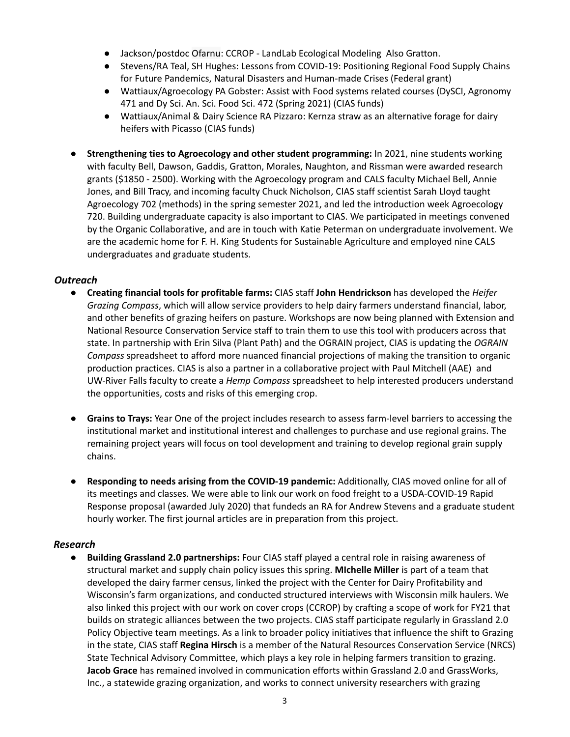- Jackson/postdoc Ofarnu: CCROP LandLab Ecological Modeling Also Gratton.
- Stevens/RA Teal, SH Hughes: Lessons from COVID-19: Positioning Regional Food Supply Chains for Future Pandemics, Natural Disasters and Human-made Crises (Federal grant)
- Wattiaux/Agroecology PA Gobster: Assist with Food systems related courses (DySCI, Agronomy 471 and Dy Sci. An. Sci. Food Sci. 472 (Spring 2021) (CIAS funds)
- Wattiaux/Animal & Dairy Science RA Pizzaro: Kernza straw as an alternative forage for dairy heifers with Picasso (CIAS funds)
- **Strengthening ties to Agroecology and other student programming:** In 2021, nine students working with faculty Bell, Dawson, Gaddis, Gratton, Morales, Naughton, and Rissman were awarded research grants (\$1850 - 2500). Working with the Agroecology program and CALS faculty Michael Bell, Annie Jones, and Bill Tracy, and incoming faculty Chuck Nicholson, CIAS staff scientist Sarah Lloyd taught Agroecology 702 (methods) in the spring semester 2021, and led the introduction week Agroecology 720. Building undergraduate capacity is also important to CIAS. We participated in meetings convened by the Organic Collaborative, and are in touch with Katie Peterman on undergraduate involvement. We are the academic home for F. H. King Students for Sustainable Agriculture and employed nine CALS undergraduates and graduate students.

#### *Outreach*

- **Creating financial tools for profitable farms:** CIAS staff **John Hendrickson** has developed the *Heifer Grazing Compass*, which will allow service providers to help dairy farmers understand financial, labor, and other benefits of grazing heifers on pasture. Workshops are now being planned with Extension and National Resource Conservation Service staff to train them to use this tool with producers across that state. In partnership with Erin Silva (Plant Path) and the OGRAIN project, CIAS is updating the *OGRAIN Compass* spreadsheet to afford more nuanced financial projections of making the transition to organic production practices. CIAS is also a partner in a collaborative project with Paul Mitchell (AAE) and UW-River Falls faculty to create a *Hemp Compass* spreadsheet to help interested producers understand the opportunities, costs and risks of this emerging crop.
- **Grains to Trays:** Year One of the project includes research to assess farm-level barriers to accessing the institutional market and institutional interest and challenges to purchase and use regional grains. The remaining project years will focus on tool development and training to develop regional grain supply chains.
- **Responding to needs arising from the COVID-19 pandemic:** Additionally, CIAS moved online for all of its meetings and classes. We were able to link our work on food freight to a USDA-COVID-19 Rapid Response proposal (awarded July 2020) that fundeds an RA for Andrew Stevens and a graduate student hourly worker. The first journal articles are in preparation from this project.

# *Research*

● **Building Grassland 2.0 partnerships:** Four CIAS staff played a central role in raising awareness of structural market and supply chain policy issues this spring. **MIchelle Miller** is part of a team that developed the dairy farmer census, linked the project with the Center for Dairy Profitability and Wisconsin's farm organizations, and conducted structured interviews with Wisconsin milk haulers. We also linked this project with our work on cover crops (CCROP) by crafting a scope of work for FY21 that builds on strategic alliances between the two projects. CIAS staff participate regularly in Grassland 2.0 Policy Objective team meetings. As a link to broader policy initiatives that influence the shift to Grazing in the state, CIAS staff **Regina Hirsch** is a member of the Natural Resources Conservation Service (NRCS) State Technical Advisory Committee, which plays a key role in helping farmers transition to grazing. **Jacob Grace** has remained involved in communication efforts within Grassland 2.0 and GrassWorks, Inc., a statewide grazing organization, and works to connect university researchers with grazing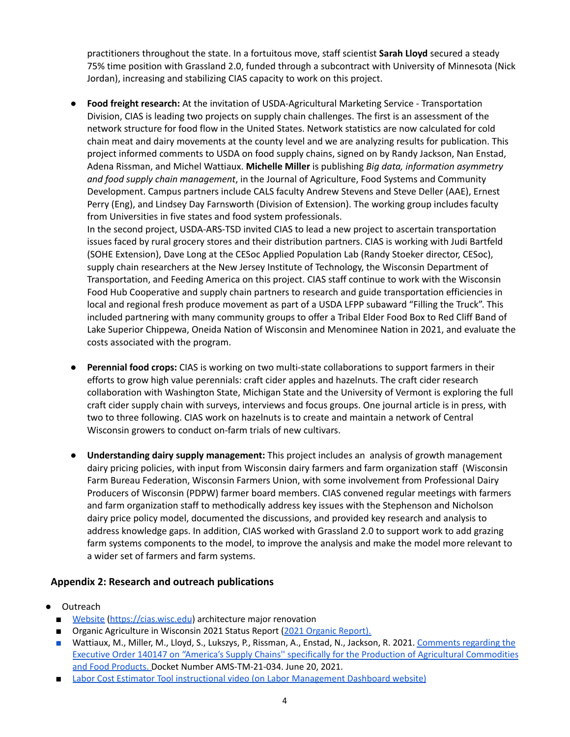practitioners throughout the state. In a fortuitous move, staff scientist **Sarah Lloyd** secured a steady 75% time position with Grassland 2.0, funded through a subcontract with University of Minnesota (Nick Jordan), increasing and stabilizing CIAS capacity to work on this project.

● **Food freight research:** At the invitation of USDA-Agricultural Marketing Service - Transportation Division, CIAS is leading two projects on supply chain challenges. The first is an assessment of the network structure for food flow in the United States. Network statistics are now calculated for cold chain meat and dairy movements at the county level and we are analyzing results for publication. This project informed comments to USDA on food supply chains, signed on by Randy Jackson, Nan Enstad, Adena Rissman, and Michel Wattiaux. **Michelle Miller** is publishing *Big data, information asymmetry and food supply chain management*, in the Journal of Agriculture, Food Systems and Community Development. Campus partners include CALS faculty Andrew Stevens and Steve Deller (AAE), Ernest Perry (Eng), and Lindsey Day Farnsworth (Division of Extension). The working group includes faculty from Universities in five states and food system professionals.

In the second project, USDA-ARS-TSD invited CIAS to lead a new project to ascertain transportation issues faced by rural grocery stores and their distribution partners. CIAS is working with Judi Bartfeld (SOHE Extension), Dave Long at the CESoc Applied Population Lab (Randy Stoeker director, CESoc), supply chain researchers at the New Jersey Institute of Technology, the Wisconsin Department of Transportation, and Feeding America on this project. CIAS staff continue to work with the Wisconsin Food Hub Cooperative and supply chain partners to research and guide transportation efficiencies in local and regional fresh produce movement as part of a USDA LFPP subaward "Filling the Truck". This included partnering with many community groups to offer a Tribal Elder Food Box to Red Cliff Band of Lake Superior Chippewa, Oneida Nation of Wisconsin and Menominee Nation in 2021, and evaluate the costs associated with the program.

- **Perennial food crops:** CIAS is working on two multi-state collaborations to support farmers in their efforts to grow high value perennials: craft cider apples and hazelnuts. The craft cider research collaboration with Washington State, Michigan State and the University of Vermont is exploring the full craft cider supply chain with surveys, interviews and focus groups. One journal article is in press, with two to three following. CIAS work on hazelnuts is to create and maintain a network of Central Wisconsin growers to conduct on-farm trials of new cultivars.
- **Understanding dairy supply management:** This project includes an analysis of growth management dairy pricing policies, with input from Wisconsin dairy farmers and farm organization staff (Wisconsin Farm Bureau Federation, Wisconsin Farmers Union, with some involvement from Professional Dairy Producers of Wisconsin (PDPW) farmer board members. CIAS convened regular meetings with farmers and farm organization staff to methodically address key issues with the Stephenson and Nicholson dairy price policy model, documented the discussions, and provided key research and analysis to address knowledge gaps. In addition, CIAS worked with Grassland 2.0 to support work to add grazing farm systems components to the model, to improve the analysis and make the model more relevant to a wider set of farmers and farm systems.

# **Appendix 2: Research and outreach publications**

- Outreach
	- [Website](https://cias.wisc.edu/) [\(https://cias.wisc.edu](https://cias.wisc.edu)) architecture major renovation
	- Organic Agriculture in Wisconsin 2021 Status Report (2021 Organic Report).
	- Wattiaux, M., Miller, M., Lloyd, S., Lukszys, P., Rissman, A., Enstad, N., Jackson, R. 2021. Comments [regarding the](https://cias.wisc.edu/our-work/food-systems/food-transportation/food-transportation/) [Executive Order 140147 on "America's Supply Chains'' specifically for the Production of Agricultural Commodities](https://cias.wisc.edu/our-work/food-systems/food-transportation/food-transportation/) [and Food Products.](https://cias.wisc.edu/our-work/food-systems/food-transportation/food-transportation/) Docket Number AMS-TM-21-034. June 20, 2021.
	- Labor Cost Estimator Tool instructional video (on Labor Management Dashboard website)